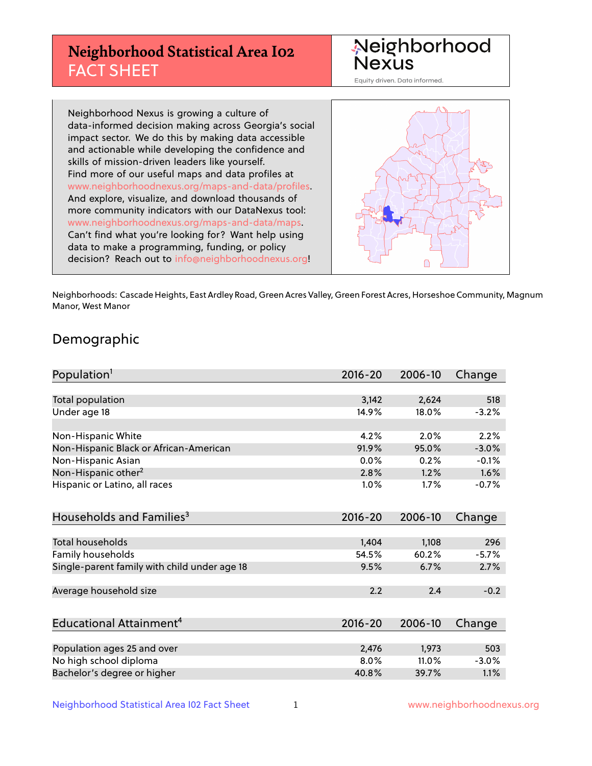## **Neighborhood Statistical Area I02** FACT SHEET



Equity driven. Data informed.

Neighborhood Nexus is growing a culture of data-informed decision making across Georgia's social impact sector. We do this by making data accessible and actionable while developing the confidence and skills of mission-driven leaders like yourself. Find more of our useful maps and data profiles at www.neighborhoodnexus.org/maps-and-data/profiles. And explore, visualize, and download thousands of more community indicators with our DataNexus tool: www.neighborhoodnexus.org/maps-and-data/maps. Can't find what you're looking for? Want help using data to make a programming, funding, or policy decision? Reach out to [info@neighborhoodnexus.org!](mailto:info@neighborhoodnexus.org)



Neighborhoods: Cascade Heights, East Ardley Road, Green Acres Valley, Green Forest Acres, Horseshoe Community, Magnum Manor, West Manor

### Demographic

| Population <sup>1</sup>                      | $2016 - 20$ | 2006-10 | Change  |
|----------------------------------------------|-------------|---------|---------|
|                                              |             |         |         |
| <b>Total population</b>                      | 3,142       | 2,624   | 518     |
| Under age 18                                 | 14.9%       | 18.0%   | $-3.2%$ |
| Non-Hispanic White                           | 4.2%        | 2.0%    | 2.2%    |
| Non-Hispanic Black or African-American       | 91.9%       | 95.0%   | $-3.0%$ |
| Non-Hispanic Asian                           | 0.0%        | 0.2%    | $-0.1%$ |
| Non-Hispanic other <sup>2</sup>              | 2.8%        | 1.2%    | 1.6%    |
| Hispanic or Latino, all races                | 1.0%        | 1.7%    | $-0.7%$ |
| Households and Families <sup>3</sup>         | $2016 - 20$ | 2006-10 | Change  |
| <b>Total households</b>                      | 1,404       | 1,108   | 296     |
| Family households                            | 54.5%       | 60.2%   | $-5.7%$ |
| Single-parent family with child under age 18 | 9.5%        | 6.7%    | 2.7%    |
| Average household size                       | 2.2         | 2.4     | $-0.2$  |
|                                              |             |         |         |
| Educational Attainment <sup>4</sup>          | $2016 - 20$ | 2006-10 | Change  |
|                                              |             |         |         |
| Population ages 25 and over                  | 2,476       | 1,973   | 503     |
| No high school diploma                       | 8.0%        | 11.0%   | $-3.0%$ |
| Bachelor's degree or higher                  | 40.8%       | 39.7%   | 1.1%    |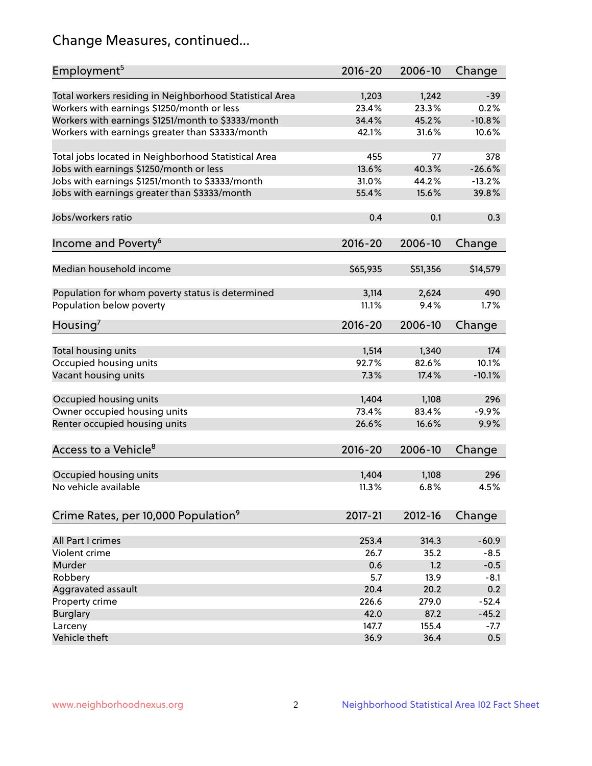## Change Measures, continued...

| Employment <sup>5</sup>                                 | $2016 - 20$    | 2006-10  | Change           |
|---------------------------------------------------------|----------------|----------|------------------|
|                                                         |                |          |                  |
| Total workers residing in Neighborhood Statistical Area | 1,203          | 1,242    | $-39$            |
| Workers with earnings \$1250/month or less              | 23.4%          | 23.3%    | 0.2%<br>$-10.8%$ |
| Workers with earnings \$1251/month to \$3333/month      | 34.4%          | 45.2%    |                  |
| Workers with earnings greater than \$3333/month         | 42.1%          | 31.6%    | 10.6%            |
| Total jobs located in Neighborhood Statistical Area     | 455            | 77       | 378              |
| Jobs with earnings \$1250/month or less                 | 13.6%          | 40.3%    | $-26.6%$         |
| Jobs with earnings \$1251/month to \$3333/month         | 31.0%          | 44.2%    | $-13.2%$         |
| Jobs with earnings greater than \$3333/month            | 55.4%          | 15.6%    | 39.8%            |
|                                                         |                |          |                  |
| Jobs/workers ratio                                      | 0.4            | 0.1      | 0.3              |
|                                                         |                |          |                  |
| Income and Poverty <sup>6</sup>                         | 2016-20        | 2006-10  | Change           |
|                                                         |                |          |                  |
| Median household income                                 | \$65,935       | \$51,356 | \$14,579         |
|                                                         |                | 2,624    | 490              |
| Population for whom poverty status is determined        | 3,114<br>11.1% | 9.4%     | 1.7%             |
| Population below poverty                                |                |          |                  |
| Housing'                                                | 2016-20        | 2006-10  | Change           |
|                                                         |                |          |                  |
| Total housing units                                     | 1,514          | 1,340    | 174              |
| Occupied housing units                                  | 92.7%          | 82.6%    | 10.1%            |
| Vacant housing units                                    | 7.3%           | 17.4%    | $-10.1%$         |
|                                                         |                |          |                  |
| Occupied housing units                                  | 1,404          | 1,108    | 296              |
| Owner occupied housing units                            | 73.4%          | 83.4%    | $-9.9%$          |
| Renter occupied housing units                           | 26.6%          | 16.6%    | 9.9%             |
|                                                         |                | 2006-10  |                  |
| Access to a Vehicle <sup>8</sup>                        | $2016 - 20$    |          | Change           |
| Occupied housing units                                  | 1,404          | 1,108    | 296              |
| No vehicle available                                    | 11.3%          | 6.8%     | 4.5%             |
|                                                         |                |          |                  |
| Crime Rates, per 10,000 Population <sup>9</sup>         | 2017-21        | 2012-16  | Change           |
|                                                         |                |          |                  |
| All Part I crimes                                       | 253.4          | 314.3    | $-60.9$          |
| Violent crime                                           | 26.7           | 35.2     | $-8.5$           |
| Murder                                                  | 0.6            | 1.2      | $-0.5$           |
| Robbery                                                 | 5.7            | 13.9     | $-8.1$           |
| Aggravated assault                                      | 20.4           | 20.2     | 0.2              |
| Property crime                                          | 226.6          | 279.0    | $-52.4$          |
| <b>Burglary</b>                                         | 42.0           | 87.2     | $-45.2$          |
| Larceny                                                 | 147.7          | 155.4    | -7.7             |
| Vehicle theft                                           | 36.9           | 36.4     | 0.5              |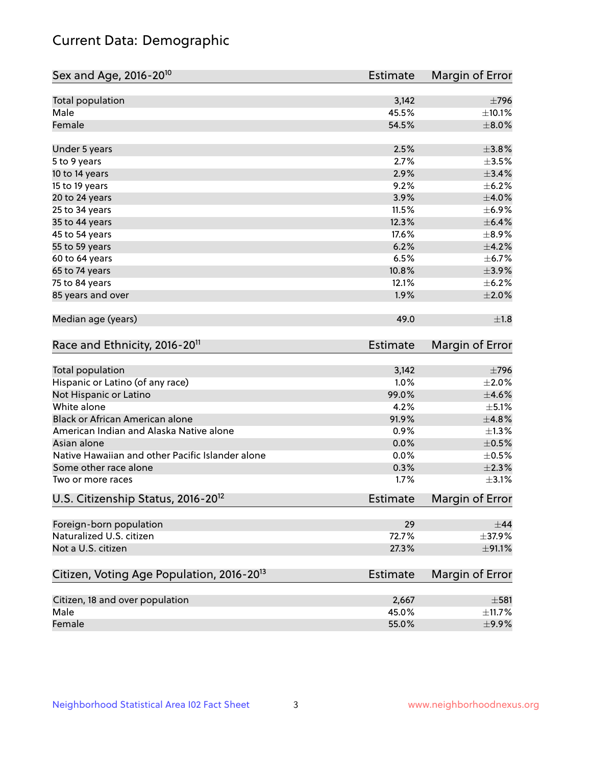## Current Data: Demographic

| Sex and Age, 2016-20 <sup>10</sup>                    | <b>Estimate</b> | Margin of Error |
|-------------------------------------------------------|-----------------|-----------------|
| Total population                                      | 3,142           | $\pm 796$       |
| Male                                                  | 45.5%           | ±10.1%          |
| Female                                                | 54.5%           | $\pm 8.0\%$     |
| Under 5 years                                         | 2.5%            | ±3.8%           |
| 5 to 9 years                                          | 2.7%            | $\pm 3.5\%$     |
| 10 to 14 years                                        | 2.9%            | $\pm$ 3.4%      |
| 15 to 19 years                                        | 9.2%            | $\pm$ 6.2%      |
| 20 to 24 years                                        | 3.9%            | $\pm 4.0\%$     |
| 25 to 34 years                                        | 11.5%           | $\pm$ 6.9%      |
| 35 to 44 years                                        | 12.3%           | $\pm$ 6.4%      |
| 45 to 54 years                                        | 17.6%           | $\pm$ 8.9%      |
| 55 to 59 years                                        | 6.2%            | $\pm 4.2\%$     |
| 60 to 64 years                                        | 6.5%            | ±6.7%           |
| 65 to 74 years                                        | 10.8%           | $\pm$ 3.9%      |
| 75 to 84 years                                        | 12.1%           | $\pm$ 6.2%      |
| 85 years and over                                     | 1.9%            | $\pm 2.0\%$     |
| Median age (years)                                    | 49.0            | ±1.8            |
| Race and Ethnicity, 2016-20 <sup>11</sup>             | <b>Estimate</b> | Margin of Error |
| Total population                                      | 3,142           | $\pm$ 796       |
| Hispanic or Latino (of any race)                      | 1.0%            | $\pm 2.0\%$     |
| Not Hispanic or Latino                                | 99.0%           | $\pm 4.6\%$     |
| White alone                                           | 4.2%            | $\pm$ 5.1%      |
| Black or African American alone                       | 91.9%           | ±4.8%           |
| American Indian and Alaska Native alone               | 0.9%            | $\pm 1.3\%$     |
| Asian alone                                           | 0.0%            | $\pm$ 0.5%      |
| Native Hawaiian and other Pacific Islander alone      | 0.0%            | $\pm$ 0.5%      |
| Some other race alone                                 | 0.3%            | $\pm 2.3\%$     |
| Two or more races                                     | 1.7%            | $\pm$ 3.1%      |
| U.S. Citizenship Status, 2016-20 <sup>12</sup>        | <b>Estimate</b> | Margin of Error |
| Foreign-born population                               | 29              | $\pm$ 44        |
| Naturalized U.S. citizen                              | 72.7%           | ±37.9%          |
| Not a U.S. citizen                                    | 27.3%           | ±91.1%          |
| Citizen, Voting Age Population, 2016-20 <sup>13</sup> | <b>Estimate</b> | Margin of Error |
| Citizen, 18 and over population                       | 2,667           | $\pm$ 581       |
| Male                                                  | 45.0%           | ±11.7%          |
| Female                                                | 55.0%           | $\pm$ 9.9%      |
|                                                       |                 |                 |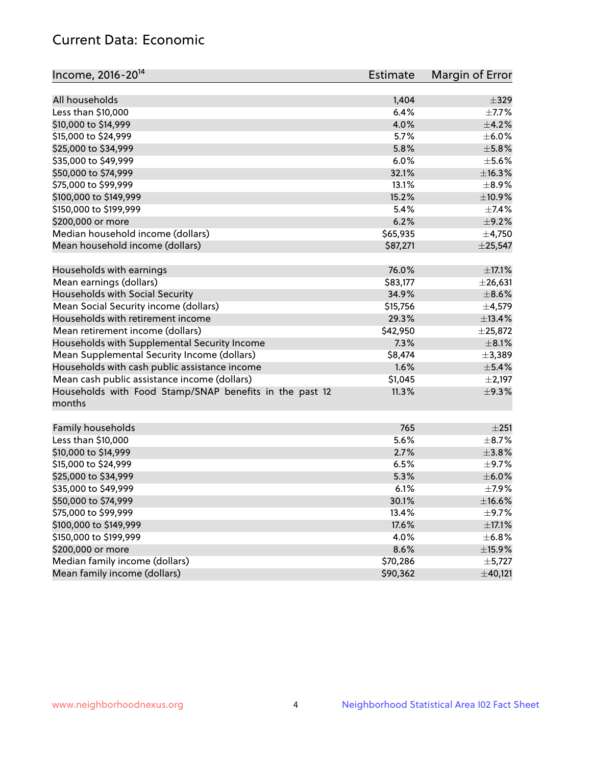## Current Data: Economic

| Income, 2016-20 <sup>14</sup>                                     | <b>Estimate</b> | Margin of Error      |
|-------------------------------------------------------------------|-----------------|----------------------|
| All households                                                    | 1,404           | $\pm$ 329            |
| Less than \$10,000                                                | 6.4%            | $\pm$ 7.7%           |
| \$10,000 to \$14,999                                              | 4.0%            | $\pm$ 4.2%           |
| \$15,000 to \$24,999                                              | 5.7%            | $\pm$ 6.0%           |
| \$25,000 to \$34,999                                              | 5.8%            | $\pm$ 5.8%           |
| \$35,000 to \$49,999                                              | 6.0%            | $\pm$ 5.6%           |
| \$50,000 to \$74,999                                              | 32.1%           | ±16.3%               |
|                                                                   |                 |                      |
| \$75,000 to \$99,999                                              | 13.1%           | $\pm$ 8.9%<br>±10.9% |
| \$100,000 to \$149,999                                            | 15.2%           |                      |
| \$150,000 to \$199,999                                            | 5.4%            | $\pm$ 7.4%           |
| \$200,000 or more                                                 | 6.2%            | $\pm$ 9.2%           |
| Median household income (dollars)                                 | \$65,935        | $\pm$ 4,750          |
| Mean household income (dollars)                                   | \$87,271        | ±25,547              |
| Households with earnings                                          | 76.0%           | $\pm$ 17.1%          |
| Mean earnings (dollars)                                           | \$83,177        | ±26,631              |
| Households with Social Security                                   | 34.9%           | $\pm$ 8.6%           |
| Mean Social Security income (dollars)                             | \$15,756        | $\pm$ 4,579          |
| Households with retirement income                                 | 29.3%           | ±13.4%               |
| Mean retirement income (dollars)                                  | \$42,950        | ±25,872              |
| Households with Supplemental Security Income                      | 7.3%            | $\pm$ 8.1%           |
| Mean Supplemental Security Income (dollars)                       | \$8,474         | ±3,389               |
| Households with cash public assistance income                     | 1.6%            | ±5.4%                |
| Mean cash public assistance income (dollars)                      | \$1,045         | $\pm 2,197$          |
| Households with Food Stamp/SNAP benefits in the past 12<br>months | 11.3%           | $\pm$ 9.3%           |
| Family households                                                 | 765             | ±251                 |
| Less than \$10,000                                                | 5.6%            | $\pm$ 8.7%           |
| \$10,000 to \$14,999                                              | 2.7%            | ±3.8%                |
| \$15,000 to \$24,999                                              | 6.5%            | $\pm$ 9.7%           |
| \$25,000 to \$34,999                                              | 5.3%            | $\pm$ 6.0%           |
| \$35,000 to \$49,999                                              | 6.1%            | $\pm$ 7.9%           |
| \$50,000 to \$74,999                                              | 30.1%           | $\pm$ 16.6%          |
| \$75,000 to \$99,999                                              | 13.4%           | $\pm$ 9.7%           |
| \$100,000 to \$149,999                                            | 17.6%           | $\pm$ 17.1%          |
| \$150,000 to \$199,999                                            | 4.0%            | $\pm$ 6.8%           |
| \$200,000 or more                                                 | 8.6%            | ±15.9%               |
| Median family income (dollars)                                    | \$70,286        | $\pm$ 5,727          |
| Mean family income (dollars)                                      | \$90,362        | ±40,121              |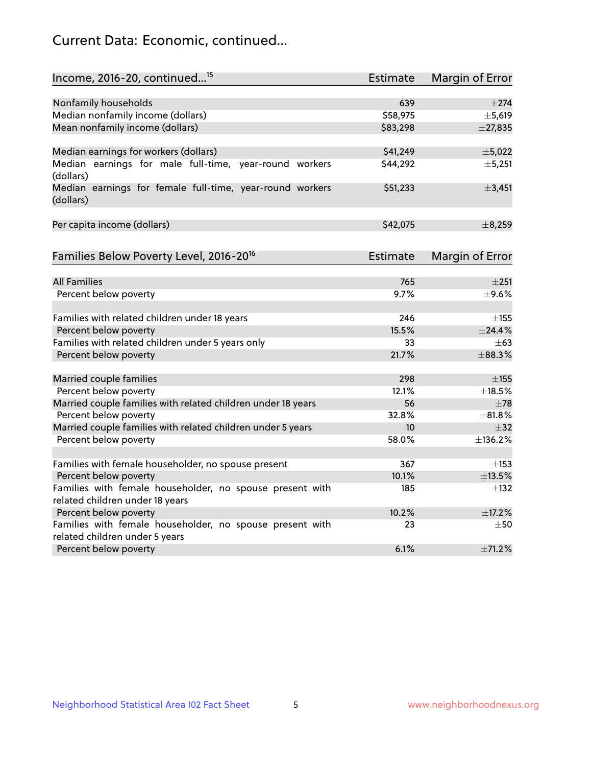## Current Data: Economic, continued...

| Income, 2016-20, continued <sup>15</sup>                              | <b>Estimate</b> | <b>Margin of Error</b> |
|-----------------------------------------------------------------------|-----------------|------------------------|
|                                                                       |                 |                        |
| Nonfamily households                                                  | 639             | $\pm 274$              |
| Median nonfamily income (dollars)                                     | \$58,975        | ±5,619                 |
| Mean nonfamily income (dollars)                                       | \$83,298        | $±$ 27,835             |
| Median earnings for workers (dollars)                                 | \$41,249        | ±5,022                 |
| Median earnings for male full-time, year-round workers<br>(dollars)   | \$44,292        | ±5,251                 |
| Median earnings for female full-time, year-round workers<br>(dollars) | \$51,233        | ±3,451                 |
| Per capita income (dollars)                                           | \$42,075        | ±8,259                 |
| Families Below Poverty Level, 2016-20 <sup>16</sup>                   | <b>Estimate</b> | <b>Margin of Error</b> |
|                                                                       |                 |                        |
| <b>All Families</b>                                                   | 765             | ±251                   |
| Percent below poverty                                                 | 9.7%            | $\pm$ 9.6%             |
| Families with related children under 18 years                         | 246             | $\pm$ 155              |
| Percent below poverty                                                 | 15.5%           | $±$ 24.4%              |
| Families with related children under 5 years only                     | 33              | $\pm 63$               |
| Percent below poverty                                                 | 21.7%           | ±88.3%                 |
| Married couple families                                               | 298             | $\pm$ 155              |
| Percent below poverty                                                 | 12.1%           | ±18.5%                 |
| Married couple families with related children under 18 years          | 56              | $\pm$ 78               |
| Percent below poverty                                                 | 32.8%           | ±81.8%                 |
| Married couple families with related children under 5 years           | 10              | $\pm$ 32               |
| Percent below poverty                                                 | 58.0%           | ±136.2%                |
| Families with female householder, no spouse present                   | 367             | $\pm$ 153              |
| Percent below poverty                                                 | 10.1%           | ±13.5%                 |
| Families with female householder, no spouse present with              | 185             | $\pm$ 132              |
| related children under 18 years                                       |                 |                        |
| Percent below poverty                                                 | 10.2%           | ±17.2%                 |
| Families with female householder, no spouse present with              | 23              | $\pm 50$               |
| related children under 5 years                                        |                 |                        |
| Percent below poverty                                                 | 6.1%            | ±71.2%                 |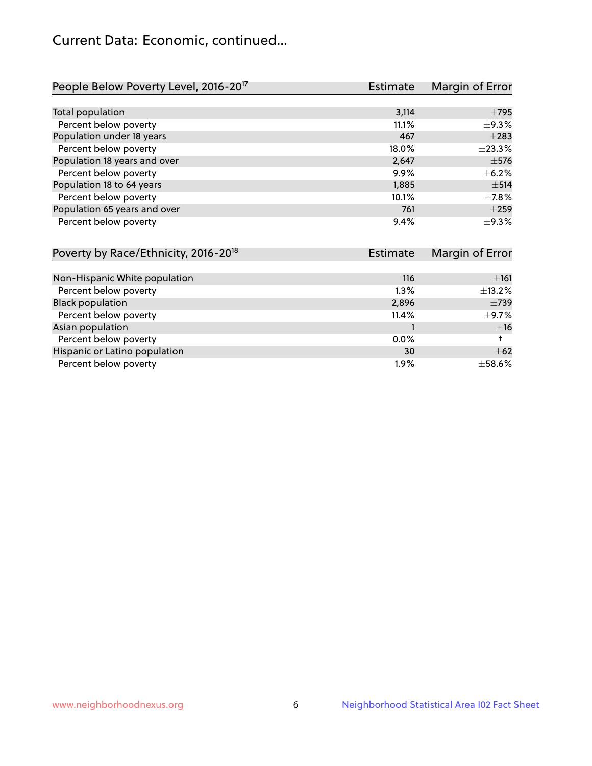## Current Data: Economic, continued...

| People Below Poverty Level, 2016-20 <sup>17</sup> | <b>Estimate</b> | Margin of Error |
|---------------------------------------------------|-----------------|-----------------|
|                                                   |                 |                 |
| Total population                                  | 3,114           | $\pm$ 795       |
| Percent below poverty                             | 11.1%           | $\pm$ 9.3%      |
| Population under 18 years                         | 467             | $\pm 283$       |
| Percent below poverty                             | 18.0%           | ±23.3%          |
| Population 18 years and over                      | 2,647           | $\pm$ 576       |
| Percent below poverty                             | 9.9%            | $\pm$ 6.2%      |
| Population 18 to 64 years                         | 1,885           | $\pm$ 514       |
| Percent below poverty                             | 10.1%           | $\pm$ 7.8%      |
| Population 65 years and over                      | 761             | $\pm 259$       |
| Percent below poverty                             | 9.4%            | $\pm$ 9.3%      |

| Poverty by Race/Ethnicity, 2016-20 <sup>18</sup> | <b>Estimate</b> | Margin of Error |
|--------------------------------------------------|-----------------|-----------------|
|                                                  |                 |                 |
| Non-Hispanic White population                    | 116             | ±161            |
| Percent below poverty                            | $1.3\%$         | $\pm$ 13.2%     |
| <b>Black population</b>                          | 2,896           | $\pm 739$       |
| Percent below poverty                            | 11.4%           | $\pm$ 9.7%      |
| Asian population                                 |                 | ±16             |
| Percent below poverty                            | $0.0\%$         |                 |
| Hispanic or Latino population                    | 30              | $\pm$ 62        |
| Percent below poverty                            | $1.9\%$         | $\pm$ 58.6%     |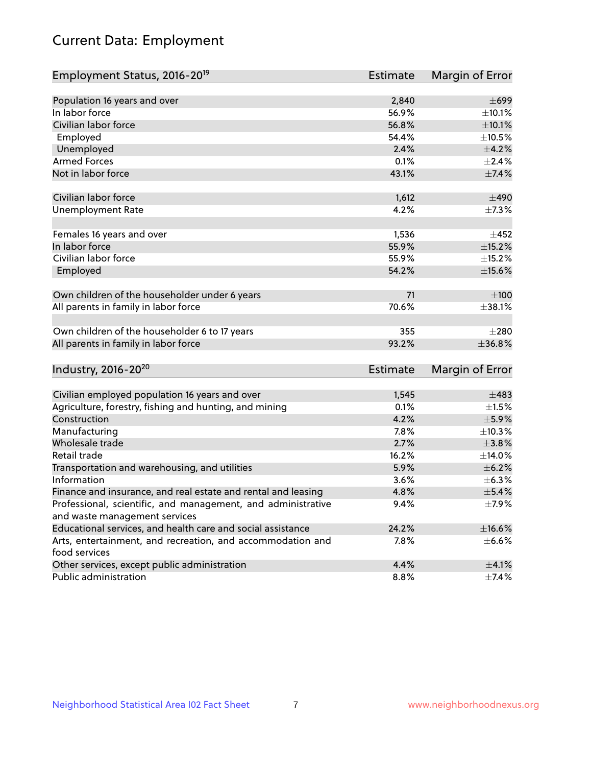# Current Data: Employment

| Employment Status, 2016-20 <sup>19</sup>                                    | <b>Estimate</b> | Margin of Error |
|-----------------------------------------------------------------------------|-----------------|-----------------|
|                                                                             |                 |                 |
| Population 16 years and over                                                | 2,840           | $\pm 699$       |
| In labor force                                                              | 56.9%           | ±10.1%          |
| Civilian labor force                                                        | 56.8%           | $\pm$ 10.1%     |
| Employed                                                                    | 54.4%           | $\pm 10.5\%$    |
| Unemployed                                                                  | 2.4%            | $\pm$ 4.2%      |
| <b>Armed Forces</b>                                                         | 0.1%            | $\pm 2.4\%$     |
| Not in labor force                                                          | 43.1%           | ±7.4%           |
| Civilian labor force                                                        | 1,612           | $\pm 490$       |
| <b>Unemployment Rate</b>                                                    | 4.2%            | $\pm$ 7.3%      |
| Females 16 years and over                                                   | 1,536           | $\pm 452$       |
| In labor force                                                              | 55.9%           | $\pm$ 15.2%     |
| Civilian labor force                                                        | 55.9%           | $\pm$ 15.2%     |
| Employed                                                                    | 54.2%           | $\pm$ 15.6%     |
| Own children of the householder under 6 years                               | 71              | $\pm 100$       |
| All parents in family in labor force                                        | 70.6%           | ±38.1%          |
|                                                                             |                 |                 |
| Own children of the householder 6 to 17 years                               | 355             | $\pm 280$       |
| All parents in family in labor force                                        | 93.2%           | ±36.8%          |
| Industry, 2016-20 <sup>20</sup>                                             | <b>Estimate</b> | Margin of Error |
|                                                                             |                 |                 |
| Civilian employed population 16 years and over                              | 1,545           | $\pm 483$       |
| Agriculture, forestry, fishing and hunting, and mining                      | 0.1%            | $\pm 1.5\%$     |
| Construction                                                                | 4.2%            | $\pm$ 5.9%      |
| Manufacturing                                                               | 7.8%            | $\pm$ 10.3%     |
| Wholesale trade                                                             | 2.7%            | $\pm 3.8\%$     |
| Retail trade                                                                | 16.2%           | ±14.0%          |
| Transportation and warehousing, and utilities                               | 5.9%            | $\pm$ 6.2%      |
| Information                                                                 | 3.6%            | $\pm$ 6.3%      |
| Finance and insurance, and real estate and rental and leasing               | 4.8%            | $\pm$ 5.4%      |
| Professional, scientific, and management, and administrative                | 9.4%            | ±7.9%           |
| and waste management services                                               |                 |                 |
| Educational services, and health care and social assistance                 | 24.2%           | $\pm$ 16.6%     |
| Arts, entertainment, and recreation, and accommodation and<br>food services | 7.8%            | $\pm$ 6.6%      |
| Other services, except public administration                                | 4.4%            | $\pm$ 4.1%      |
| Public administration                                                       | 8.8%            | $\pm$ 7.4%      |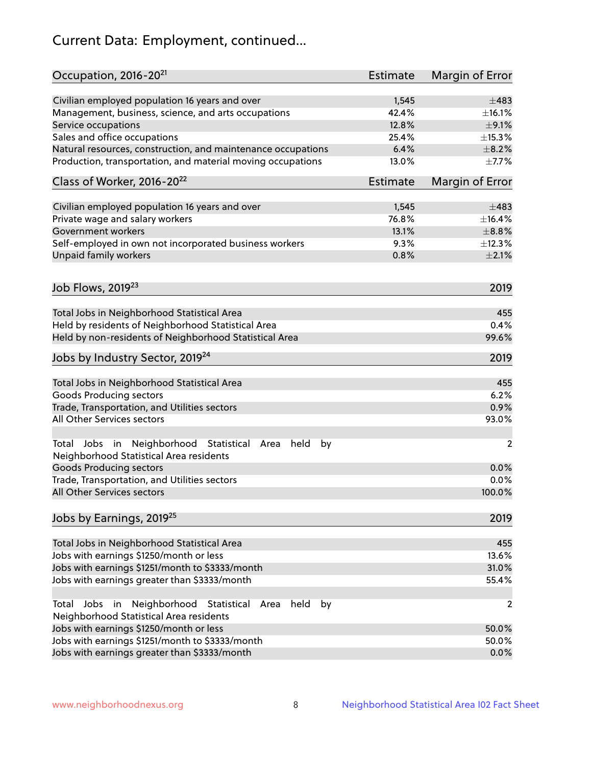# Current Data: Employment, continued...

| Occupation, 2016-20 <sup>21</sup>                                                                       | <b>Estimate</b> | Margin of Error |
|---------------------------------------------------------------------------------------------------------|-----------------|-----------------|
| Civilian employed population 16 years and over                                                          | 1,545           | $\pm 483$       |
| Management, business, science, and arts occupations                                                     | 42.4%           | ±16.1%          |
| Service occupations                                                                                     | 12.8%           | $\pm$ 9.1%      |
| Sales and office occupations                                                                            | 25.4%           | ±15.3%          |
| Natural resources, construction, and maintenance occupations                                            | 6.4%            | $\pm$ 8.2%      |
| Production, transportation, and material moving occupations                                             | 13.0%           | $\pm$ 7.7%      |
| Class of Worker, 2016-20 <sup>22</sup>                                                                  | <b>Estimate</b> | Margin of Error |
| Civilian employed population 16 years and over                                                          | 1,545           | $\pm 483$       |
| Private wage and salary workers                                                                         | 76.8%           | ±16.4%          |
| Government workers                                                                                      | 13.1%           | $\pm$ 8.8%      |
| Self-employed in own not incorporated business workers                                                  | 9.3%            | ±12.3%          |
| Unpaid family workers                                                                                   | 0.8%            | $\pm 2.1\%$     |
|                                                                                                         |                 |                 |
| Job Flows, 2019 <sup>23</sup>                                                                           |                 | 2019            |
| Total Jobs in Neighborhood Statistical Area                                                             |                 | 455             |
| Held by residents of Neighborhood Statistical Area                                                      |                 | 0.4%            |
| Held by non-residents of Neighborhood Statistical Area                                                  |                 | 99.6%           |
| Jobs by Industry Sector, 2019 <sup>24</sup>                                                             |                 | 2019            |
| Total Jobs in Neighborhood Statistical Area                                                             |                 | 455             |
| <b>Goods Producing sectors</b>                                                                          |                 | 6.2%            |
| Trade, Transportation, and Utilities sectors                                                            |                 | 0.9%            |
| All Other Services sectors                                                                              |                 | 93.0%           |
| Total Jobs in Neighborhood Statistical<br>held<br>by<br>Area<br>Neighborhood Statistical Area residents |                 | $\overline{2}$  |
| <b>Goods Producing sectors</b>                                                                          |                 | 0.0%            |
| Trade, Transportation, and Utilities sectors                                                            |                 | 0.0%            |
| All Other Services sectors                                                                              |                 | 100.0%          |
| Jobs by Earnings, 2019 <sup>25</sup>                                                                    |                 | 2019            |
| Total Jobs in Neighborhood Statistical Area                                                             |                 | 455             |
| Jobs with earnings \$1250/month or less                                                                 |                 | 13.6%           |
| Jobs with earnings \$1251/month to \$3333/month                                                         |                 | 31.0%           |
| Jobs with earnings greater than \$3333/month                                                            |                 | 55.4%           |
| Neighborhood Statistical<br>Jobs<br>in<br>held<br>by<br>Total<br>Area                                   |                 | 2               |
| Neighborhood Statistical Area residents                                                                 |                 |                 |
| Jobs with earnings \$1250/month or less                                                                 |                 | 50.0%           |
| Jobs with earnings \$1251/month to \$3333/month                                                         |                 | 50.0%           |
| Jobs with earnings greater than \$3333/month                                                            |                 | 0.0%            |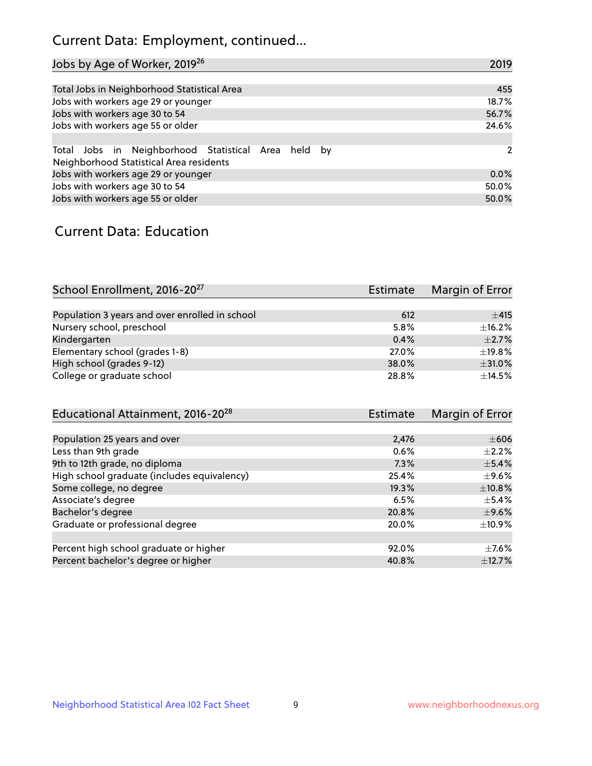## Current Data: Employment, continued...

| Jobs by Age of Worker, 2019 <sup>26</sup>                                                      | 2019  |
|------------------------------------------------------------------------------------------------|-------|
|                                                                                                |       |
| Total Jobs in Neighborhood Statistical Area                                                    | 455   |
| Jobs with workers age 29 or younger                                                            | 18.7% |
| Jobs with workers age 30 to 54                                                                 | 56.7% |
| Jobs with workers age 55 or older                                                              | 24.6% |
|                                                                                                |       |
| Total Jobs in Neighborhood Statistical Area held by<br>Neighborhood Statistical Area residents | 2     |
| Jobs with workers age 29 or younger                                                            | 0.0%  |
| Jobs with workers age 30 to 54                                                                 | 50.0% |
| Jobs with workers age 55 or older                                                              | 50.0% |

### Current Data: Education

| School Enrollment, 2016-20 <sup>27</sup>       | <b>Estimate</b> | Margin of Error |
|------------------------------------------------|-----------------|-----------------|
|                                                |                 |                 |
| Population 3 years and over enrolled in school | 612             | ±415            |
| Nursery school, preschool                      | 5.8%            | $\pm$ 16.2%     |
| Kindergarten                                   | 0.4%            | $\pm 2.7\%$     |
| Elementary school (grades 1-8)                 | 27.0%           | ±19.8%          |
| High school (grades 9-12)                      | 38.0%           | ±31.0%          |
| College or graduate school                     | 28.8%           | $+14.5%$        |

| Educational Attainment, 2016-20 <sup>28</sup> | <b>Estimate</b> | Margin of Error |
|-----------------------------------------------|-----------------|-----------------|
|                                               |                 |                 |
| Population 25 years and over                  | 2,476           | $\pm 606$       |
| Less than 9th grade                           | 0.6%            | $\pm 2.2\%$     |
| 9th to 12th grade, no diploma                 | 7.3%            | $\pm$ 5.4%      |
| High school graduate (includes equivalency)   | 25.4%           | $\pm$ 9.6%      |
| Some college, no degree                       | 19.3%           | ±10.8%          |
| Associate's degree                            | 6.5%            | $\pm$ 5.4%      |
| Bachelor's degree                             | 20.8%           | $\pm$ 9.6%      |
| Graduate or professional degree               | 20.0%           | $\pm$ 10.9%     |
|                                               |                 |                 |
| Percent high school graduate or higher        | 92.0%           | $\pm$ 7.6%      |
| Percent bachelor's degree or higher           | 40.8%           | ±12.7%          |
|                                               |                 |                 |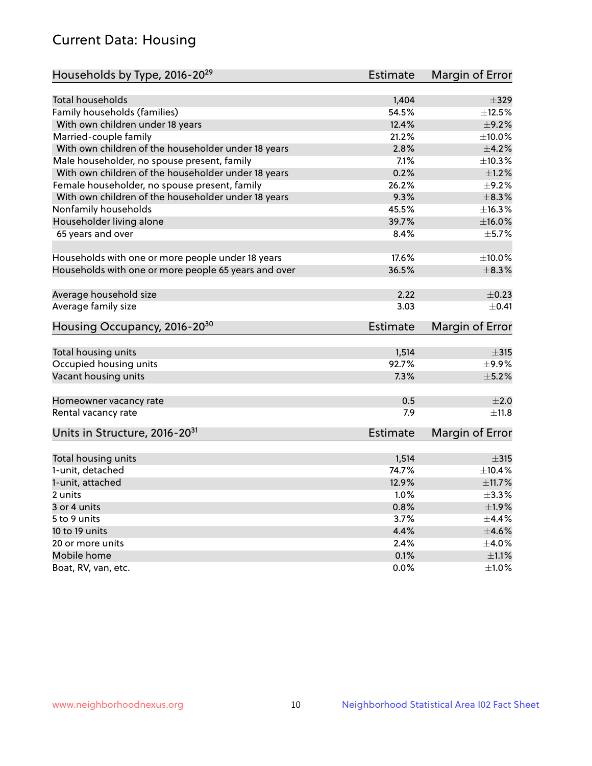## Current Data: Housing

| Households by Type, 2016-20 <sup>29</sup>            | <b>Estimate</b> | Margin of Error |
|------------------------------------------------------|-----------------|-----------------|
|                                                      |                 |                 |
| Total households                                     | 1,404           | $\pm$ 329       |
| Family households (families)                         | 54.5%           | $\pm$ 12.5%     |
| With own children under 18 years                     | 12.4%           | $\pm$ 9.2%      |
| Married-couple family                                | 21.2%           | $\pm 10.0\%$    |
| With own children of the householder under 18 years  | 2.8%            | $\pm 4.2\%$     |
| Male householder, no spouse present, family          | 7.1%            | ±10.3%          |
| With own children of the householder under 18 years  | 0.2%            | $\pm1.2\%$      |
| Female householder, no spouse present, family        | 26.2%           | $\pm$ 9.2%      |
| With own children of the householder under 18 years  | 9.3%            | $\pm$ 8.3%      |
| Nonfamily households                                 | 45.5%           | ±16.3%          |
| Householder living alone                             | 39.7%           | $\pm$ 16.0%     |
| 65 years and over                                    | 8.4%            | $\pm$ 5.7%      |
|                                                      |                 |                 |
| Households with one or more people under 18 years    | 17.6%           | $\pm$ 10.0%     |
| Households with one or more people 65 years and over | 36.5%           | $\pm$ 8.3%      |
| Average household size                               | 2.22            | $\pm$ 0.23      |
| Average family size                                  | 3.03            | $\pm$ 0.41      |
| Housing Occupancy, 2016-20 <sup>30</sup>             | <b>Estimate</b> | Margin of Error |
|                                                      |                 |                 |
| Total housing units                                  | 1,514           | $\pm$ 315       |
| Occupied housing units                               | 92.7%           | ±9.9%           |
| Vacant housing units                                 | 7.3%            | $\pm$ 5.2%      |
| Homeowner vacancy rate                               | 0.5             | ±2.0            |
| Rental vacancy rate                                  | 7.9             | ±11.8           |
| Units in Structure, 2016-20 <sup>31</sup>            | Estimate        | Margin of Error |
|                                                      | 1,514           | $\pm$ 315       |
| Total housing units<br>1-unit, detached              | 74.7%           | ±10.4%          |
|                                                      |                 |                 |
| 1-unit, attached                                     | 12.9%           | ±11.7%          |
| 2 units                                              | 1.0%            | $\pm$ 3.3%      |
| 3 or 4 units                                         | 0.8%            | ±1.9%           |
| 5 to 9 units                                         | 3.7%            | $\pm$ 4.4%      |
| 10 to 19 units                                       | 4.4%            | $\pm 4.6\%$     |
| 20 or more units                                     | 2.4%            | $\pm 4.0\%$     |
| Mobile home                                          | 0.1%            | $\pm 1.1\%$     |
| Boat, RV, van, etc.                                  | 0.0%            | $\pm 1.0\%$     |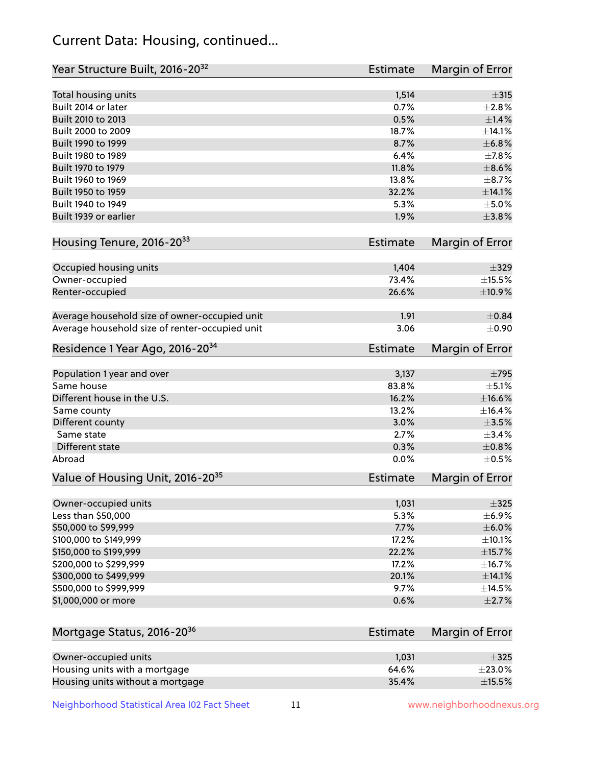## Current Data: Housing, continued...

| Year Structure Built, 2016-20 <sup>32</sup>    | Estimate | Margin of Error |
|------------------------------------------------|----------|-----------------|
| Total housing units                            | 1,514    | $\pm$ 315       |
| Built 2014 or later                            | 0.7%     | $\pm 2.8\%$     |
| Built 2010 to 2013                             | 0.5%     | ±1.4%           |
| Built 2000 to 2009                             | 18.7%    | ±14.1%          |
| Built 1990 to 1999                             | 8.7%     | $\pm$ 6.8%      |
| Built 1980 to 1989                             | 6.4%     | ±7.8%           |
| Built 1970 to 1979                             | 11.8%    | $\pm$ 8.6%      |
| Built 1960 to 1969                             | 13.8%    | $\pm$ 8.7%      |
| Built 1950 to 1959                             | 32.2%    | ±14.1%          |
| Built 1940 to 1949                             | 5.3%     | $\pm$ 5.0%      |
| Built 1939 or earlier                          | 1.9%     | $\pm 3.8\%$     |
|                                                |          |                 |
| Housing Tenure, 2016-2033                      | Estimate | Margin of Error |
| Occupied housing units                         | 1,404    | $\pm$ 329       |
| Owner-occupied                                 | 73.4%    | $\pm$ 15.5%     |
| Renter-occupied                                | 26.6%    | ±10.9%          |
|                                                |          |                 |
| Average household size of owner-occupied unit  | 1.91     | $\pm$ 0.84      |
| Average household size of renter-occupied unit | 3.06     | $\pm 0.90$      |
| Residence 1 Year Ago, 2016-20 <sup>34</sup>    | Estimate | Margin of Error |
|                                                |          |                 |
| Population 1 year and over                     | 3,137    | $\pm 795$       |
| Same house                                     | 83.8%    | $\pm$ 5.1%      |
| Different house in the U.S.                    | 16.2%    | $\pm$ 16.6%     |
| Same county                                    | 13.2%    | ±16.4%          |
| Different county                               | 3.0%     | $\pm 3.5\%$     |
| Same state                                     | 2.7%     | ±3.4%           |
| Different state                                | 0.3%     | $\pm$ 0.8%      |
| Abroad                                         | 0.0%     | $\pm$ 0.5%      |
| Value of Housing Unit, 2016-20 <sup>35</sup>   | Estimate | Margin of Error |
| Owner-occupied units                           | 1,031    | $\pm$ 325       |
| Less than \$50,000                             | 5.3%     | $\pm$ 6.9%      |
| \$50,000 to \$99,999                           | 7.7%     | $\pm$ 6.0%      |
| \$100,000 to \$149,999                         | 17.2%    | $\pm$ 10.1%     |
| \$150,000 to \$199,999                         | 22.2%    | $\pm$ 15.7%     |
| \$200,000 to \$299,999                         | 17.2%    | ±16.7%          |
| \$300,000 to \$499,999                         | 20.1%    | ±14.1%          |
| \$500,000 to \$999,999                         | 9.7%     | ±14.5%          |
| \$1,000,000 or more                            | 0.6%     | $\pm 2.7\%$     |
|                                                |          |                 |
| Mortgage Status, 2016-20 <sup>36</sup>         | Estimate | Margin of Error |
|                                                |          |                 |
| Owner-occupied units                           | 1,031    | $\pm$ 325       |
| Housing units with a mortgage                  | 64.6%    | $\pm 23.0\%$    |
| Housing units without a mortgage               | 35.4%    | $\pm$ 15.5%     |

Neighborhood Statistical Area I02 Fact Sheet 11 11 www.neighborhoodnexus.org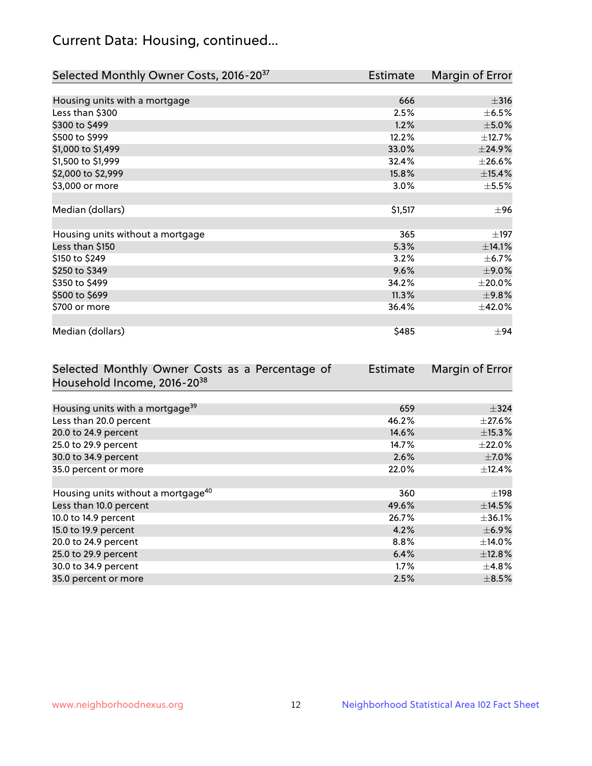## Current Data: Housing, continued...

| Selected Monthly Owner Costs, 2016-20 <sup>37</sup> | Estimate | Margin of Error |
|-----------------------------------------------------|----------|-----------------|
|                                                     |          |                 |
| Housing units with a mortgage                       | 666      | $\pm$ 316       |
| Less than \$300                                     | 2.5%     | $\pm$ 6.5%      |
| \$300 to \$499                                      | 1.2%     | $\pm$ 5.0%      |
| \$500 to \$999                                      | 12.2%    | ±12.7%          |
| \$1,000 to \$1,499                                  | 33.0%    | ±24.9%          |
| \$1,500 to \$1,999                                  | 32.4%    | $\pm 26.6\%$    |
| \$2,000 to \$2,999                                  | 15.8%    | $\pm$ 15.4%     |
| \$3,000 or more                                     | 3.0%     | $\pm$ 5.5%      |
|                                                     |          |                 |
| Median (dollars)                                    | \$1,517  | ±96             |
|                                                     |          |                 |
| Housing units without a mortgage                    | 365      | $\pm$ 197       |
| Less than \$150                                     | 5.3%     | ±14.1%          |
| \$150 to \$249                                      | 3.2%     | $\pm$ 6.7%      |
| \$250 to \$349                                      | 9.6%     | $\pm$ 9.0%      |
| \$350 to \$499                                      | 34.2%    | $\pm 20.0\%$    |
| \$500 to \$699                                      | 11.3%    | $\pm$ 9.8%      |
| \$700 or more                                       | 36.4%    | ±42.0%          |
|                                                     |          |                 |
| Median (dollars)                                    | \$485    | ±94             |

| Selected Monthly Owner Costs as a Percentage of | <b>Estimate</b> | Margin of Error |
|-------------------------------------------------|-----------------|-----------------|
| Household Income, 2016-20 <sup>38</sup>         |                 |                 |
|                                                 |                 |                 |
| Housing units with a mortgage <sup>39</sup>     | 659             | $\pm$ 324       |
| Less than 20.0 percent                          | 46.2%           | $\pm 27.6\%$    |
| 20.0 to 24.9 percent                            | 14.6%           | $\pm$ 15.3%     |
| 25.0 to 29.9 percent                            | 14.7%           | $\pm 22.0\%$    |
| 30.0 to 34.9 percent                            | 2.6%            | $\pm$ 7.0%      |
| 35.0 percent or more                            | 22.0%           | $\pm$ 12.4%     |
|                                                 |                 |                 |
| Housing units without a mortgage <sup>40</sup>  | 360             | $\pm$ 198       |
| Less than 10.0 percent                          | 49.6%           | ±14.5%          |
| 10.0 to 14.9 percent                            | 26.7%           | $\pm$ 36.1%     |
| 15.0 to 19.9 percent                            | 4.2%            | $\pm$ 6.9%      |
| 20.0 to 24.9 percent                            | $8.8\%$         | $\pm$ 14.0%     |
| 25.0 to 29.9 percent                            | 6.4%            | ±12.8%          |
| 30.0 to 34.9 percent                            | $1.7\%$         | $\pm$ 4.8%      |
| 35.0 percent or more                            | 2.5%            | $\pm$ 8.5%      |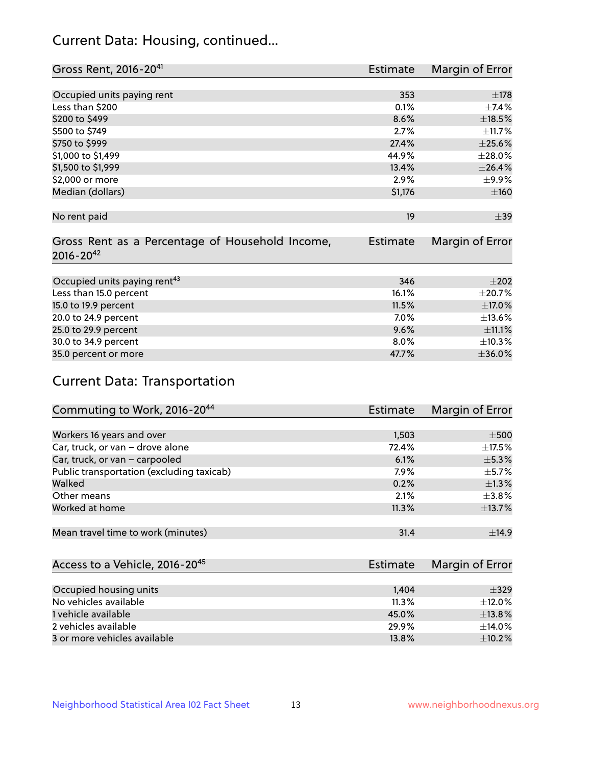## Current Data: Housing, continued...

| Gross Rent, 2016-20 <sup>41</sup>               | <b>Estimate</b> | Margin of Error |
|-------------------------------------------------|-----------------|-----------------|
|                                                 |                 |                 |
| Occupied units paying rent                      | 353             | $\pm$ 178       |
| Less than \$200                                 | 0.1%            | $\pm$ 7.4%      |
| \$200 to \$499                                  | 8.6%            | $\pm$ 18.5%     |
| \$500 to \$749                                  | 2.7%            | $\pm$ 11.7%     |
| \$750 to \$999                                  | 27.4%           | $\pm 25.6\%$    |
| \$1,000 to \$1,499                              | 44.9%           | ±28.0%          |
| \$1,500 to \$1,999                              | 13.4%           | ±26.4%          |
| \$2,000 or more                                 | 2.9%            | $\pm$ 9.9%      |
| Median (dollars)                                | \$1,176         | $\pm 160$       |
|                                                 |                 |                 |
| No rent paid                                    | 19              | $\pm$ 39        |
|                                                 |                 |                 |
| Gross Rent as a Percentage of Household Income, | <b>Estimate</b> | Margin of Error |
| $2016 - 20^{42}$                                |                 |                 |
|                                                 |                 |                 |
| Occupied units paying rent <sup>43</sup>        | 346             | $\pm 202$       |
| Less than 15.0 percent                          | 16.1%           | $\pm 20.7\%$    |
| 15.0 to 19.9 percent                            | 11.5%           | $\pm$ 17.0%     |
| 20.0 to 24.9 percent                            | 7.0%            | ±13.6%          |
| 25.0 to 29.9 percent                            | 9.6%            | ±11.1%          |
| 30.0 to 34.9 percent                            | 8.0%            | ±10.3%          |
| 35.0 percent or more                            | 47.7%           | ±36.0%          |

# Current Data: Transportation

| Commuting to Work, 2016-20 <sup>44</sup>  | Estimate | Margin of Error |
|-------------------------------------------|----------|-----------------|
|                                           |          |                 |
| Workers 16 years and over                 | 1,503    | $\pm 500$       |
| Car, truck, or van - drove alone          | 72.4%    | $\pm$ 17.5%     |
| Car, truck, or van - carpooled            | 6.1%     | $\pm$ 5.3%      |
| Public transportation (excluding taxicab) | 7.9%     | $\pm$ 5.7%      |
| Walked                                    | 0.2%     | $\pm 1.3\%$     |
| Other means                               | 2.1%     | $\pm$ 3.8%      |
| Worked at home                            | 11.3%    | ±13.7%          |
|                                           |          |                 |
| Mean travel time to work (minutes)        | 31.4     | $\pm$ 14.9      |

| Access to a Vehicle, 2016-20 <sup>45</sup> | Estimate | Margin of Error |
|--------------------------------------------|----------|-----------------|
|                                            |          |                 |
| Occupied housing units                     | 1,404    | $\pm$ 329       |
| No vehicles available                      | 11.3%    | $+12.0%$        |
| 1 vehicle available                        | 45.0%    | ±13.8%          |
| 2 vehicles available                       | 29.9%    | $+14.0%$        |
| 3 or more vehicles available               | 13.8%    | $+10.2%$        |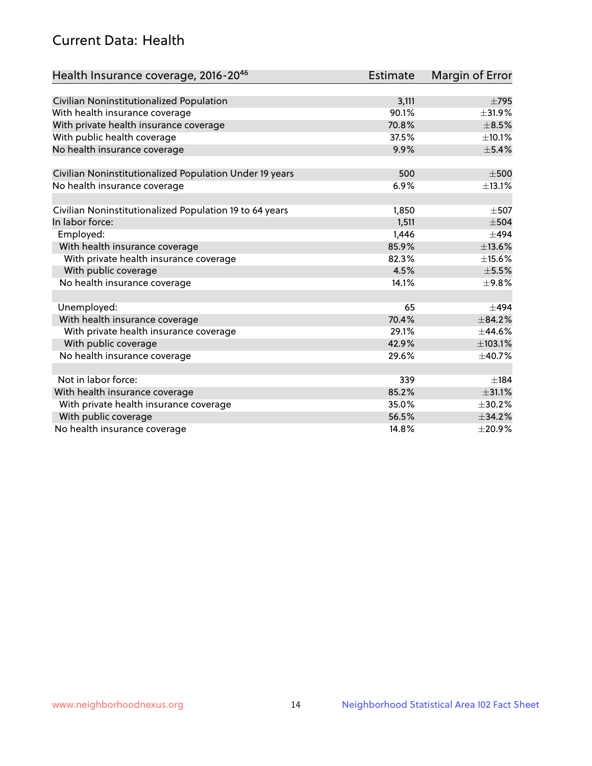## Current Data: Health

| Health Insurance coverage, 2016-2046                    | Estimate | <b>Margin of Error</b> |
|---------------------------------------------------------|----------|------------------------|
|                                                         |          |                        |
| Civilian Noninstitutionalized Population                | 3,111    | $\pm$ 795              |
| With health insurance coverage                          | 90.1%    | ±31.9%                 |
| With private health insurance coverage                  | 70.8%    | $\pm$ 8.5%             |
| With public health coverage                             | 37.5%    | ±10.1%                 |
| No health insurance coverage                            | 9.9%     | $\pm$ 5.4%             |
| Civilian Noninstitutionalized Population Under 19 years | 500      | $\pm 500$              |
| No health insurance coverage                            | 6.9%     | ±13.1%                 |
|                                                         |          |                        |
| Civilian Noninstitutionalized Population 19 to 64 years | 1,850    | $\pm$ 507              |
| In labor force:                                         | 1,511    | $\pm$ 504              |
| Employed:                                               | 1,446    | $\pm$ 494              |
| With health insurance coverage                          | 85.9%    | ±13.6%                 |
| With private health insurance coverage                  | 82.3%    | $\pm$ 15.6%            |
| With public coverage                                    | 4.5%     | $\pm$ 5.5%             |
| No health insurance coverage                            | 14.1%    | $\pm$ 9.8%             |
|                                                         |          |                        |
| Unemployed:                                             | 65       | $+494$                 |
| With health insurance coverage                          | 70.4%    | ±84.2%                 |
| With private health insurance coverage                  | 29.1%    | $\pm$ 44.6%            |
| With public coverage                                    | 42.9%    | ±103.1%                |
| No health insurance coverage                            | 29.6%    | ±40.7%                 |
|                                                         |          |                        |
| Not in labor force:                                     | 339      | ±184                   |
| With health insurance coverage                          | 85.2%    | ±31.1%                 |
| With private health insurance coverage                  | 35.0%    | ±30.2%                 |
| With public coverage                                    | 56.5%    | ±34.2%                 |
| No health insurance coverage                            | 14.8%    | $\pm 20.9\%$           |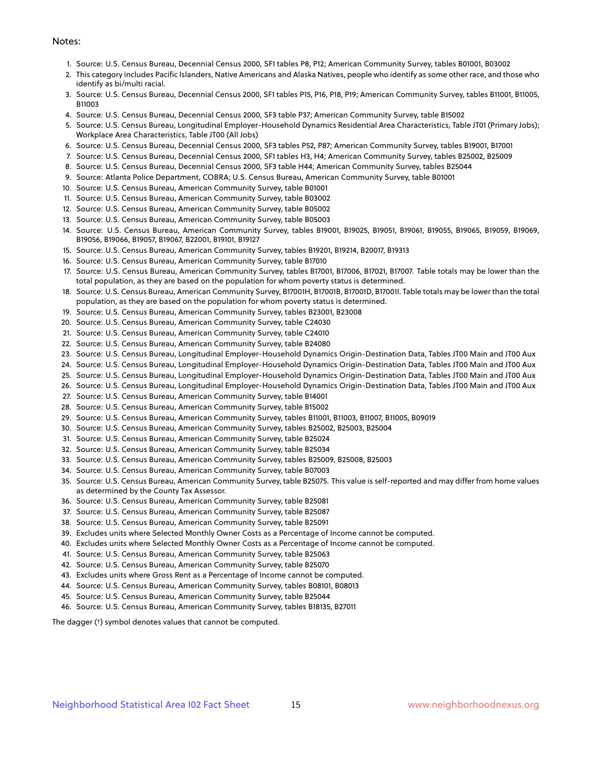#### Notes:

- 1. Source: U.S. Census Bureau, Decennial Census 2000, SF1 tables P8, P12; American Community Survey, tables B01001, B03002
- 2. This category includes Pacific Islanders, Native Americans and Alaska Natives, people who identify as some other race, and those who identify as bi/multi racial.
- 3. Source: U.S. Census Bureau, Decennial Census 2000, SF1 tables P15, P16, P18, P19; American Community Survey, tables B11001, B11005, B11003
- 4. Source: U.S. Census Bureau, Decennial Census 2000, SF3 table P37; American Community Survey, table B15002
- 5. Source: U.S. Census Bureau, Longitudinal Employer-Household Dynamics Residential Area Characteristics, Table JT01 (Primary Jobs); Workplace Area Characteristics, Table JT00 (All Jobs)
- 6. Source: U.S. Census Bureau, Decennial Census 2000, SF3 tables P52, P87; American Community Survey, tables B19001, B17001
- 7. Source: U.S. Census Bureau, Decennial Census 2000, SF1 tables H3, H4; American Community Survey, tables B25002, B25009
- 8. Source: U.S. Census Bureau, Decennial Census 2000, SF3 table H44; American Community Survey, tables B25044
- 9. Source: Atlanta Police Department, COBRA; U.S. Census Bureau, American Community Survey, table B01001
- 10. Source: U.S. Census Bureau, American Community Survey, table B01001
- 11. Source: U.S. Census Bureau, American Community Survey, table B03002
- 12. Source: U.S. Census Bureau, American Community Survey, table B05002
- 13. Source: U.S. Census Bureau, American Community Survey, table B05003
- 14. Source: U.S. Census Bureau, American Community Survey, tables B19001, B19025, B19051, B19061, B19055, B19065, B19059, B19069, B19056, B19066, B19057, B19067, B22001, B19101, B19127
- 15. Source: U.S. Census Bureau, American Community Survey, tables B19201, B19214, B20017, B19313
- 16. Source: U.S. Census Bureau, American Community Survey, table B17010
- 17. Source: U.S. Census Bureau, American Community Survey, tables B17001, B17006, B17021, B17007. Table totals may be lower than the total population, as they are based on the population for whom poverty status is determined.
- 18. Source: U.S. Census Bureau, American Community Survey, B17001H, B17001B, B17001D, B17001I. Table totals may be lower than the total population, as they are based on the population for whom poverty status is determined.
- 19. Source: U.S. Census Bureau, American Community Survey, tables B23001, B23008
- 20. Source: U.S. Census Bureau, American Community Survey, table C24030
- 21. Source: U.S. Census Bureau, American Community Survey, table C24010
- 22. Source: U.S. Census Bureau, American Community Survey, table B24080
- 23. Source: U.S. Census Bureau, Longitudinal Employer-Household Dynamics Origin-Destination Data, Tables JT00 Main and JT00 Aux
- 24. Source: U.S. Census Bureau, Longitudinal Employer-Household Dynamics Origin-Destination Data, Tables JT00 Main and JT00 Aux
- 25. Source: U.S. Census Bureau, Longitudinal Employer-Household Dynamics Origin-Destination Data, Tables JT00 Main and JT00 Aux
- 26. Source: U.S. Census Bureau, Longitudinal Employer-Household Dynamics Origin-Destination Data, Tables JT00 Main and JT00 Aux
- 27. Source: U.S. Census Bureau, American Community Survey, table B14001
- 28. Source: U.S. Census Bureau, American Community Survey, table B15002
- 29. Source: U.S. Census Bureau, American Community Survey, tables B11001, B11003, B11007, B11005, B09019
- 30. Source: U.S. Census Bureau, American Community Survey, tables B25002, B25003, B25004
- 31. Source: U.S. Census Bureau, American Community Survey, table B25024
- 32. Source: U.S. Census Bureau, American Community Survey, table B25034
- 33. Source: U.S. Census Bureau, American Community Survey, tables B25009, B25008, B25003
- 34. Source: U.S. Census Bureau, American Community Survey, table B07003
- 35. Source: U.S. Census Bureau, American Community Survey, table B25075. This value is self-reported and may differ from home values as determined by the County Tax Assessor.
- 36. Source: U.S. Census Bureau, American Community Survey, table B25081
- 37. Source: U.S. Census Bureau, American Community Survey, table B25087
- 38. Source: U.S. Census Bureau, American Community Survey, table B25091
- 39. Excludes units where Selected Monthly Owner Costs as a Percentage of Income cannot be computed.
- 40. Excludes units where Selected Monthly Owner Costs as a Percentage of Income cannot be computed.
- 41. Source: U.S. Census Bureau, American Community Survey, table B25063
- 42. Source: U.S. Census Bureau, American Community Survey, table B25070
- 43. Excludes units where Gross Rent as a Percentage of Income cannot be computed.
- 44. Source: U.S. Census Bureau, American Community Survey, tables B08101, B08013
- 45. Source: U.S. Census Bureau, American Community Survey, table B25044
- 46. Source: U.S. Census Bureau, American Community Survey, tables B18135, B27011

The dagger (†) symbol denotes values that cannot be computed.